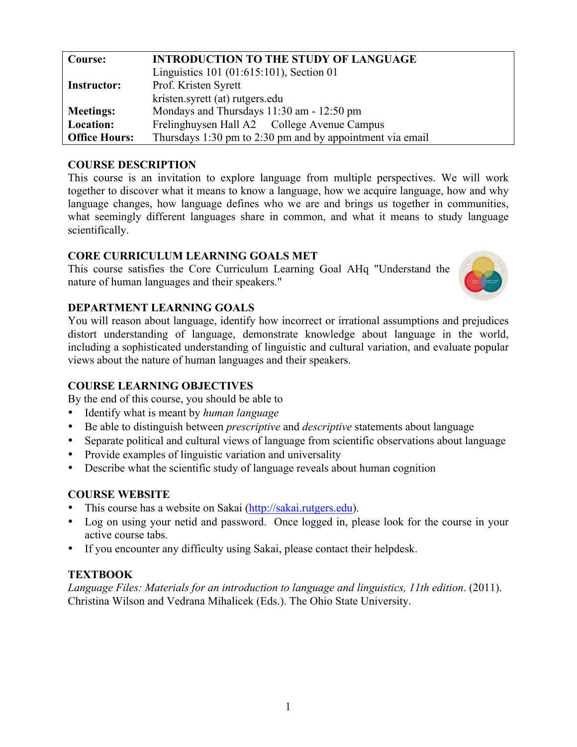| <b>INTRODUCTION TO THE STUDY OF LANGUAGE</b> |  |  |  |  |
|----------------------------------------------|--|--|--|--|
|                                              |  |  |  |  |
| Prof. Kristen Syrett                         |  |  |  |  |
|                                              |  |  |  |  |
| Mondays and Thursdays 11:30 am - 12:50 pm    |  |  |  |  |
|                                              |  |  |  |  |
|                                              |  |  |  |  |
|                                              |  |  |  |  |

## **COURSE DESCRIPTION**

This course is an invitation to explore language from multiple perspectives. We will work together to discover what it means to know a language, how we acquire language, how and why language changes, how language defines who we are and brings us together in communities, what seemingly different languages share in common, and what it means to study language scientifically.

### **CORE CURRICULUM LEARNING GOALS MET**

This course satisfies the Core Curriculum Learning Goal AHq "Understand the nature of human languages and their speakers."



# **DEPARTMENT LEARNING GOALS**

You will reason about language, identify how incorrect or irrational assumptions and prejudices distort understanding of language, demonstrate knowledge about language in the world, including a sophisticated understanding of linguistic and cultural variation, and evaluate popular views about the nature of human languages and their speakers.

# **COURSE LEARNING OBJECTIVES**

By the end of this course, you should be able to

- Identify what is meant by *human language*
- Be able to distinguish between *prescriptive* and *descriptive* statements about language
- Separate political and cultural views of language from scientific observations about language
- Provide examples of linguistic variation and universality
- Describe what the scientific study of language reveals about human cognition

# **COURSE WEBSITE**

- This course has a website on Sakai (http://sakai.rutgers.edu).
- Log on using your netid and password. Once logged in, please look for the course in your active course tabs.
- If you encounter any difficulty using Sakai, please contact their helpdesk.

# **TEXTBOOK**

*Language Files: Materials for an introduction to language and linguistics, 11th edition*. (2011). Christina Wilson and Vedrana Mihalicek (Eds.). The Ohio State University.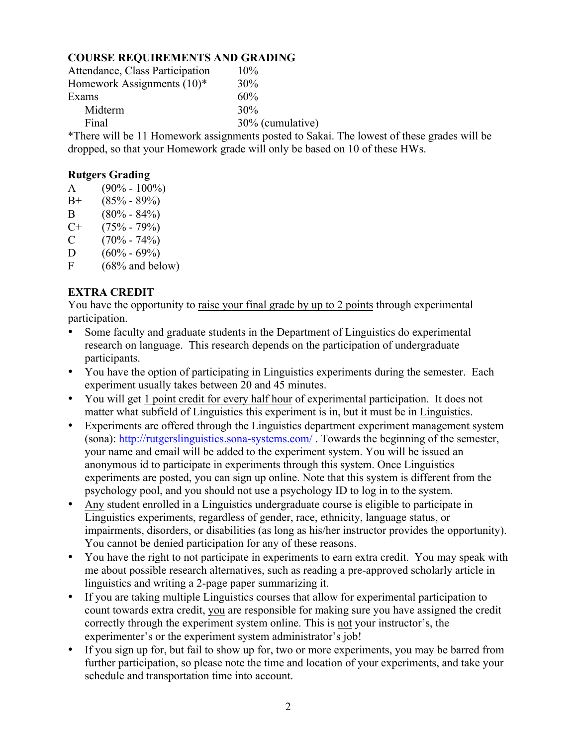# **COURSE REQUIREMENTS AND GRADING**

| Attendance, Class Participation | $10\%$           |
|---------------------------------|------------------|
| Homework Assignments $(10)^*$   | 30%              |
| Exams                           | 60%              |
| Midterm                         | 30%              |
| Final                           | 30% (cumulative) |
|                                 |                  |

\*There will be 11 Homework assignments posted to Sakai. The lowest of these grades will be dropped, so that your Homework grade will only be based on 10 of these HWs.

## **Rutgers Grading**

- A  $(90\% 100\%)$
- $B+$  (85% 89%)
- B  $(80\% 84\%)$
- $C+$  (75% 79%)
- $C = (70\% 74\%)$
- D  $(60\% 69\%)$ <br>F  $(68\% \text{ and } \text{bel})$
- $(68\%$  and below)

# **EXTRA CREDIT**

You have the opportunity to raise your final grade by up to 2 points through experimental participation.

- Some faculty and graduate students in the Department of Linguistics do experimental research on language. This research depends on the participation of undergraduate participants.
- You have the option of participating in Linguistics experiments during the semester. Each experiment usually takes between 20 and 45 minutes.
- You will get 1 point credit for every half hour of experimental participation. It does not matter what subfield of Linguistics this experiment is in, but it must be in Linguistics.
- Experiments are offered through the Linguistics department experiment management system (sona): http://rutgerslinguistics.sona-systems.com/ . Towards the beginning of the semester, your name and email will be added to the experiment system. You will be issued an anonymous id to participate in experiments through this system. Once Linguistics experiments are posted, you can sign up online. Note that this system is different from the psychology pool, and you should not use a psychology ID to log in to the system.
- Any student enrolled in a Linguistics undergraduate course is eligible to participate in Linguistics experiments, regardless of gender, race, ethnicity, language status, or impairments, disorders, or disabilities (as long as his/her instructor provides the opportunity). You cannot be denied participation for any of these reasons.
- You have the right to not participate in experiments to earn extra credit. You may speak with me about possible research alternatives, such as reading a pre-approved scholarly article in linguistics and writing a 2-page paper summarizing it.
- If you are taking multiple Linguistics courses that allow for experimental participation to count towards extra credit, you are responsible for making sure you have assigned the credit correctly through the experiment system online. This is not your instructor's, the experimenter's or the experiment system administrator's job!
- If you sign up for, but fail to show up for, two or more experiments, you may be barred from further participation, so please note the time and location of your experiments, and take your schedule and transportation time into account.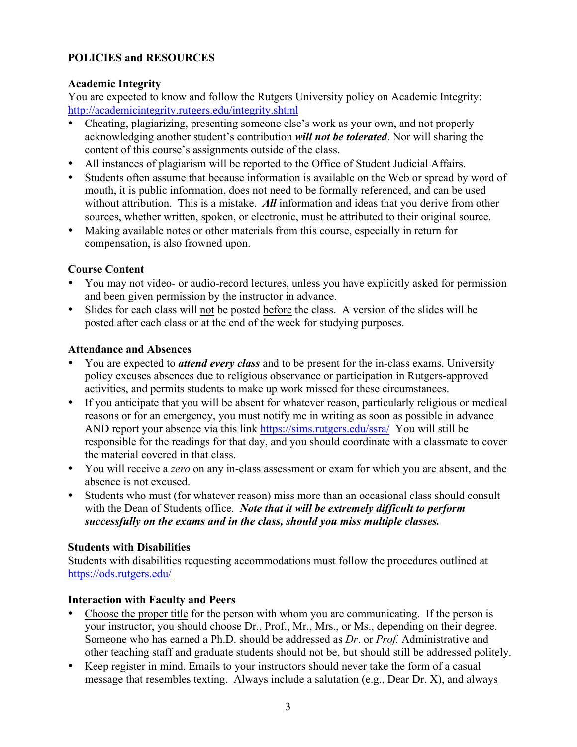# **POLICIES and RESOURCES**

## **Academic Integrity**

You are expected to know and follow the Rutgers University policy on Academic Integrity: http://academicintegrity.rutgers.edu/integrity.shtml

- Cheating, plagiarizing, presenting someone else's work as your own, and not properly acknowledging another student's contribution *will not be tolerated*. Nor will sharing the content of this course's assignments outside of the class.
- All instances of plagiarism will be reported to the Office of Student Judicial Affairs.
- Students often assume that because information is available on the Web or spread by word of mouth, it is public information, does not need to be formally referenced, and can be used without attribution. This is a mistake. *All* information and ideas that you derive from other sources, whether written, spoken, or electronic, must be attributed to their original source.
- Making available notes or other materials from this course, especially in return for compensation, is also frowned upon.

# **Course Content**

- You may not video- or audio-record lectures, unless you have explicitly asked for permission and been given permission by the instructor in advance.
- Slides for each class will not be posted before the class. A version of the slides will be posted after each class or at the end of the week for studying purposes.

## **Attendance and Absences**

- You are expected to *attend every class* and to be present for the in-class exams. University policy excuses absences due to religious observance or participation in Rutgers-approved activities, and permits students to make up work missed for these circumstances.
- If you anticipate that you will be absent for whatever reason, particularly religious or medical reasons or for an emergency, you must notify me in writing as soon as possible in advance AND report your absence via this link https://sims.rutgers.edu/ssra/ You will still be responsible for the readings for that day, and you should coordinate with a classmate to cover the material covered in that class.
- You will receive a *zero* on any in-class assessment or exam for which you are absent, and the absence is not excused.
- Students who must (for whatever reason) miss more than an occasional class should consult with the Dean of Students office. *Note that it will be extremely difficult to perform successfully on the exams and in the class, should you miss multiple classes.*

### **Students with Disabilities**

Students with disabilities requesting accommodations must follow the procedures outlined at https://ods.rutgers.edu/

# **Interaction with Faculty and Peers**

- Choose the proper title for the person with whom you are communicating. If the person is your instructor, you should choose Dr., Prof., Mr., Mrs., or Ms., depending on their degree. Someone who has earned a Ph.D. should be addressed as *Dr*. or *Prof.* Administrative and other teaching staff and graduate students should not be, but should still be addressed politely.
- Keep register in mind. Emails to your instructors should never take the form of a casual message that resembles texting. Always include a salutation (e.g., Dear Dr. X), and always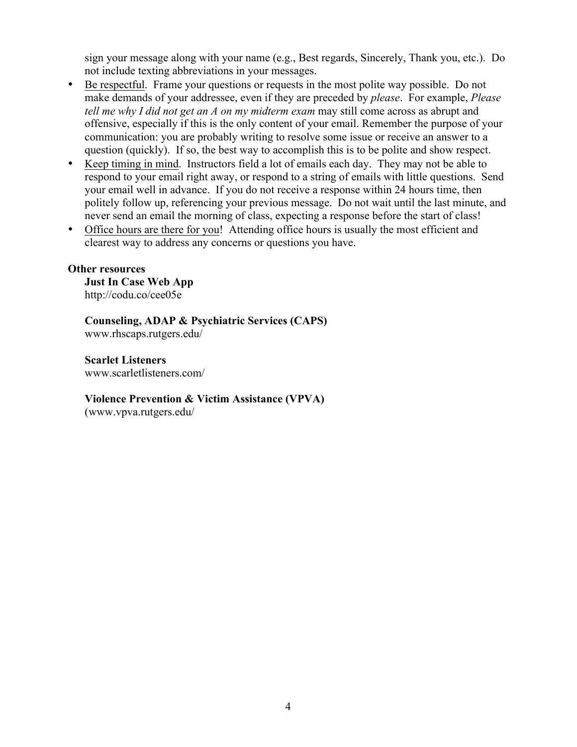sign your message along with your name (e.g., Best regards, Sincerely, Thank you, etc.). Do not include texting abbreviations in your messages.

- Be respectful. Frame your questions or requests in the most polite way possible. Do not make demands of your addressee, even if they are preceded by *please*. For example, *Please tell me why I did not get an A on my midterm exam* may still come across as abrupt and offensive, especially if this is the only content of your email. Remember the purpose of your communication: you are probably writing to resolve some issue or receive an answer to a question (quickly). If so, the best way to accomplish this is to be polite and show respect.
- Keep timing in mind. Instructors field a lot of emails each day. They may not be able to respond to your email right away, or respond to a string of emails with little questions. Send your email well in advance. If you do not receive a response within 24 hours time, then politely follow up, referencing your previous message. Do not wait until the last minute, and never send an email the morning of class, expecting a response before the start of class!
- Office hours are there for you! Attending office hours is usually the most efficient and clearest way to address any concerns or questions you have.

#### **Other resources**

**Just In Case Web App** http://codu.co/cee05e

**Counseling, ADAP & Psychiatric Services (CAPS)** www.rhscaps.rutgers.edu/

**Scarlet Listeners** www.scarletlisteners.com/

#### **Violence Prevention & Victim Assistance (VPVA)**

(www.vpva.rutgers.edu/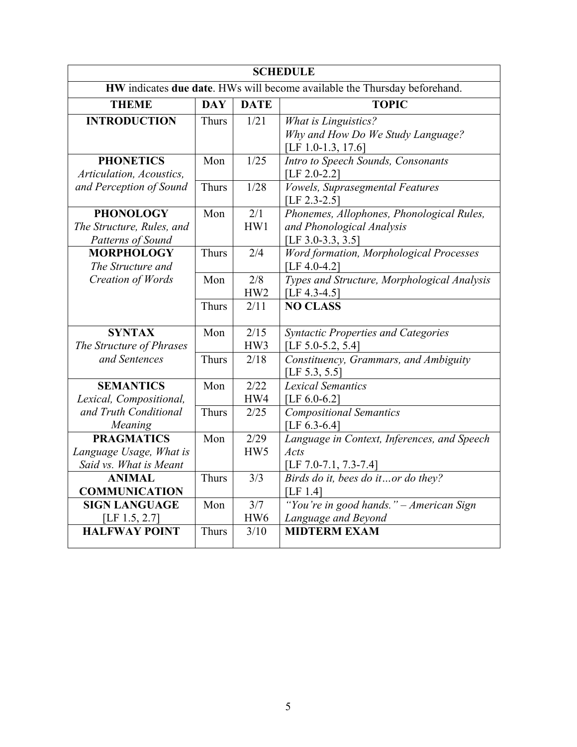| <b>SCHEDULE</b>                                                           |              |                 |                                                |  |  |  |
|---------------------------------------------------------------------------|--------------|-----------------|------------------------------------------------|--|--|--|
| HW indicates due date. HWs will become available the Thursday beforehand. |              |                 |                                                |  |  |  |
| <b>THEME</b>                                                              | <b>DAY</b>   | <b>DATE</b>     | <b>TOPIC</b>                                   |  |  |  |
| <b>INTRODUCTION</b>                                                       | <b>Thurs</b> | 1/21            | <b>What is Linguistics?</b>                    |  |  |  |
|                                                                           |              |                 | Why and How Do We Study Language?              |  |  |  |
|                                                                           |              |                 | [LF 1.0-1.3, 17.6]                             |  |  |  |
| <b>PHONETICS</b>                                                          | Mon          | 1/25            | Intro to Speech Sounds, Consonants             |  |  |  |
| Articulation, Acoustics,                                                  |              |                 | [LF $2.0 - 2.2$ ]                              |  |  |  |
| and Perception of Sound                                                   | <b>Thurs</b> | 1/28            | <b>Vowels, Suprasegmental Features</b>         |  |  |  |
|                                                                           |              |                 | [LF 2.3-2.5]                                   |  |  |  |
| <b>PHONOLOGY</b>                                                          | Mon          | 2/1             | Phonemes, Allophones, Phonological Rules,      |  |  |  |
| The Structure, Rules, and                                                 |              | HW1             | and Phonological Analysis                      |  |  |  |
| Patterns of Sound                                                         |              |                 | [LF 3.0-3.3, 3.5]                              |  |  |  |
| <b>MORPHOLOGY</b>                                                         | <b>Thurs</b> | 2/4             | <b>Word formation, Morphological Processes</b> |  |  |  |
| The Structure and                                                         |              |                 | [LF $4.0 - 4.2$ ]                              |  |  |  |
| Creation of Words                                                         | Mon          | 2/8             | Types and Structure, Morphological Analysis    |  |  |  |
|                                                                           |              | HW <sub>2</sub> | [LF 4.3-4.5]                                   |  |  |  |
|                                                                           | <b>Thurs</b> | 2/11            | <b>NO CLASS</b>                                |  |  |  |
| <b>SYNTAX</b>                                                             | Mon          | 2/15            | <b>Syntactic Properties and Categories</b>     |  |  |  |
| The Structure of Phrases                                                  |              | HW3             | [LF $5.0 - 5.2, 5.4$ ]                         |  |  |  |
| and Sentences                                                             | <b>Thurs</b> | 2/18            | Constituency, Grammars, and Ambiguity          |  |  |  |
|                                                                           |              |                 | [LF $5.3, 5.5$ ]                               |  |  |  |
| <b>SEMANTICS</b>                                                          | Mon          | 2/22            | <b>Lexical Semantics</b>                       |  |  |  |
| Lexical, Compositional,                                                   |              | HW4             | [LF $6.0-6.2$ ]                                |  |  |  |
| and Truth Conditional                                                     | Thurs        | 2/25            | <b>Compositional Semantics</b>                 |  |  |  |
| Meaning                                                                   |              |                 | [LF $6.3-6.4$ ]                                |  |  |  |
| <b>PRAGMATICS</b>                                                         | Mon          | 2/29            | Language in Context, Inferences, and Speech    |  |  |  |
| Language Usage, What is                                                   |              | HW5             | Acts                                           |  |  |  |
| Said vs. What is Meant                                                    |              |                 | [LF 7.0-7.1, 7.3-7.4]                          |  |  |  |
| <b>ANIMAL</b>                                                             | <b>Thurs</b> | 3/3             | Birds do it, bees do itor do they?             |  |  |  |
| <b>COMMUNICATION</b>                                                      |              |                 | [LF $1.4$ ]                                    |  |  |  |
| <b>SIGN LANGUAGE</b>                                                      | Mon          | 3/7             | "You're in good hands." - American Sign        |  |  |  |
| [LF $1.5, 2.7$ ]                                                          |              | HW <sub>6</sub> | Language and Beyond                            |  |  |  |
| <b>HALFWAY POINT</b>                                                      | <b>Thurs</b> | 3/10            | <b>MIDTERM EXAM</b>                            |  |  |  |